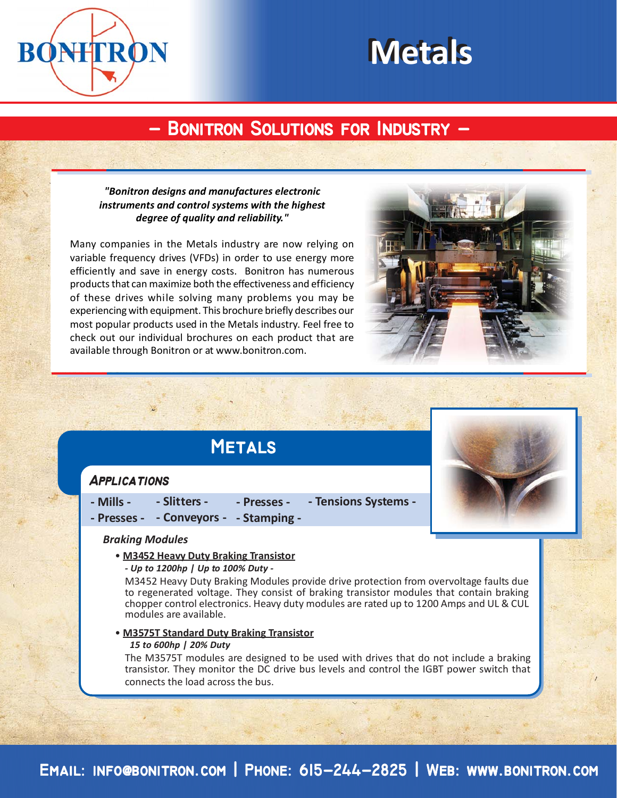

# **Metals Metals**

# **- Bonitron Solutions for Industry - - Bonitron Solutions for Industry -**

# *"Bonitron designs and manufactures electronic instruments and control systems with the highest degree of quality and reliability."*

Many companies in the Metals industry are now relying on variable frequency drives (VFDs) in order to use energy more efficiently and save in energy costs. Bonitron has numerous products that can maximize both the effectiveness and efficiency of these drives while solving many problems you may be experiencing with equipment. This brochure briefly describes our most popular products used in the Metals industry. Feel free to check out our individual brochures on each product that are available through Bonitron or at www.bonitron.com.



# **Metals**

# **Applications**

**- Mills - - Slitters - - Presses - - Tensions Systems -**

# **- Presses - - Conveyors - - Stamping -**

#### *Braking Modules*

• **M3452 Heavy Duty Braking Transistor**

#### *- Up to 1200hp | Up to 100% Duty -*

M3452 Heavy Duty Braking Modules provide drive protection from overvoltage faults due to regenerated voltage. They consist of braking transistor modules that contain braking chopper control electronics. Heavy duty modules are rated up to 1200 Amps and UL & CUL modules are available.

#### • **M3575T Standard Duty Braking Transistor**

#### *15 to 600hp | 20% Duty*

The M3575T modules are designed to be used with drives that do not include a braking transistor. They monitor the DC drive bus levels and control the IGBT power switch that connects the load across the bus.